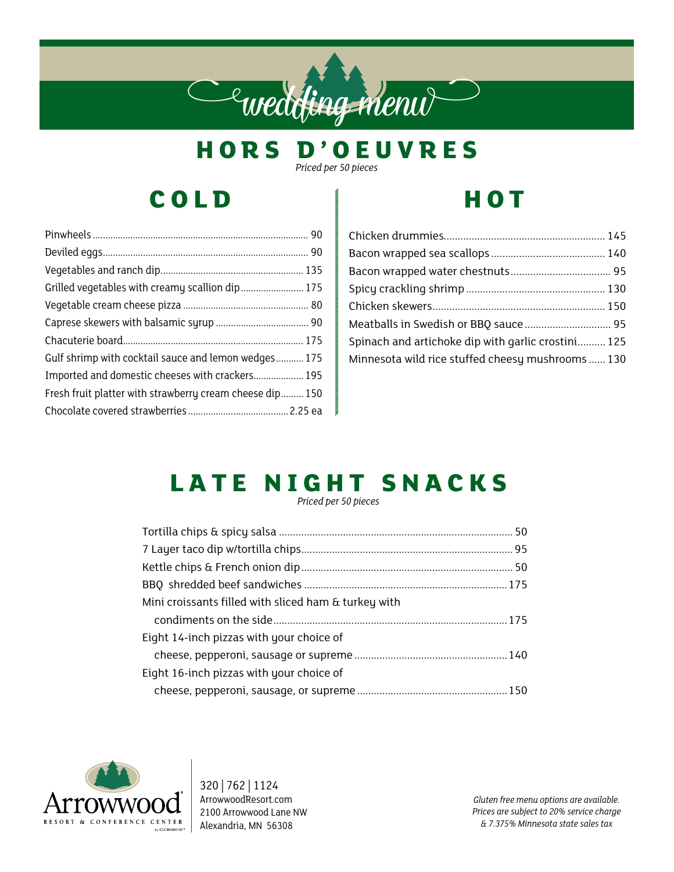## e wedding menu

**H O R S D ' O E U V R E S** 

*Priced per 50 pieces*

## **COLD**

| Gulf shrimp with cocktail sauce and lemon wedges 175     |  |
|----------------------------------------------------------|--|
| Imported and domestic cheeses with crackers 195          |  |
| Fresh fruit platter with strawberry cream cheese dip 150 |  |
|                                                          |  |

## **HOT**

| Meatballs in Swedish or BBQ sauce 95               |  |
|----------------------------------------------------|--|
| Spinach and artichoke dip with garlic crostini 125 |  |
| Minnesota wild rice stuffed cheesy mushrooms  130  |  |

## LATE NIGHT SNACKS

*Priced per 50 pieces*

| Mini croissants filled with sliced ham & turkey with |  |
|------------------------------------------------------|--|
|                                                      |  |
| Eight 14-inch pizzas with your choice of             |  |
|                                                      |  |
| Eight 16-inch pizzas with your choice of             |  |
|                                                      |  |



320 | 762 | 1124 ArrowwoodResort.com 2100 Arrowwood Lane NW Alexandria, MN 56308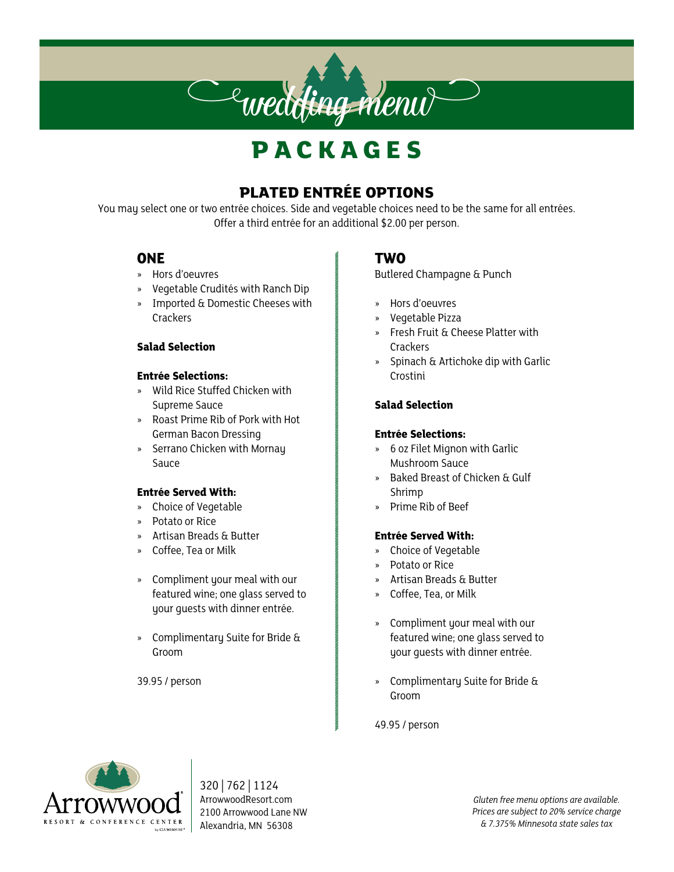## **P A C K A G E S**

 $\epsilon$ wedding menu $\epsilon$ 

#### **PLATED ENTRÉE OPTIONS**

You may select one or two entrée choices. Side and vegetable choices need to be the same for all entrées. Offer a third entrée for an additional \$2.00 per person.

#### **ONE**

- » Hors d'oeuvres
- » Vegetable Crudités with Ranch Dip
- » Imported & Domestic Cheeses with **Crackers**

#### **Salad Selection**

#### **Entrée Selections:**

- » Wild Rice Stuffed Chicken with Supreme Sauce
- » Roast Prime Rib of Pork with Hot German Bacon Dressing
- » Serrano Chicken with Mornay Sauce

#### **Entrée Served With:**

- » Choice of Vegetable
- » Potato or Rice
- » Artisan Breads & Butter
- » Coffee, Tea or Milk
- » Compliment your meal with our featured wine; one glass served to your guests with dinner entrée.
- » Complimentary Suite for Bride & Groom

39.95 / person

#### **TWO**

Butlered Champagne & Punch

- » Hors d'oeuvres
- » Vegetable Pizza
- » Fresh Fruit & Cheese Platter with Crackers
- » Spinach & Artichoke dip with Garlic Crostini

#### **Salad Selection**

#### **Entrée Selections:**

- » 6 oz Filet Mignon with Garlic Mushroom Sauce
- » Baked Breast of Chicken & Gulf Shrimp
- » Prime Rib of Beef

#### **Entrée Served With:**

- » Choice of Vegetable
- » Potato or Rice
- » Artisan Breads & Butter
- » Coffee, Tea, or Milk
- » Compliment your meal with our featured wine; one glass served to your guests with dinner entrée.
- » Complimentary Suite for Bride & Groom

49.95 / person



320 | 762 | 1124 ArrowwoodResort.com 2100 Arrowwood Lane NW Alexandria, MN 56308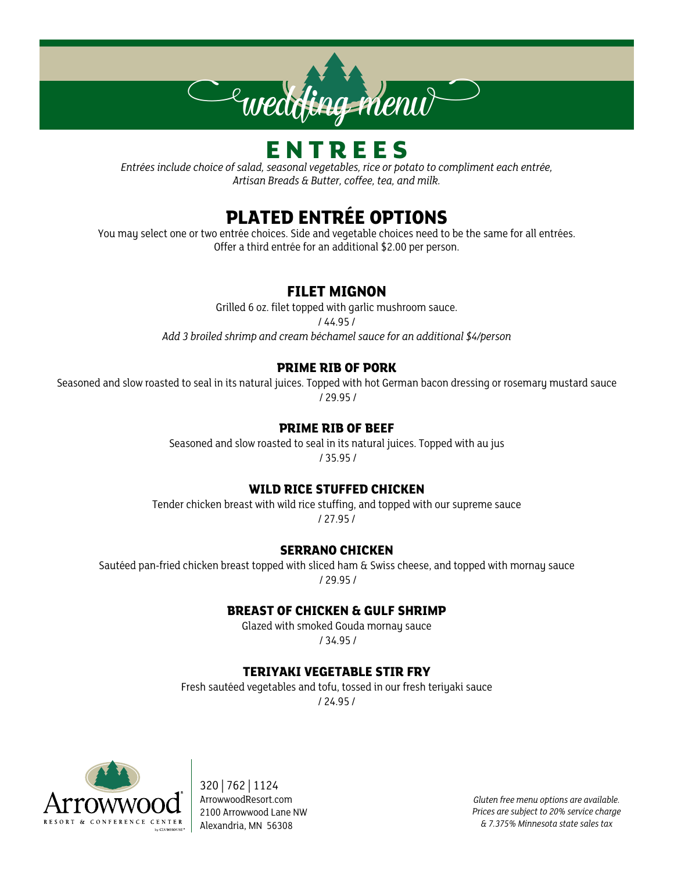

## **E N T R E E S**

*Entrées include choice of salad, seasonal vegetables, rice or potato to compliment each entrée, Artisan Breads & Butter, coffee, tea, and milk.*

#### **PLATED ENTRÉE OPTIONS**

You may select one or two entrée choices. Side and vegetable choices need to be the same for all entrées. Offer a third entrée for an additional \$2.00 per person.

#### **FILET MIGNON**

Grilled 6 oz. filet topped with garlic mushroom sauce. / 44.95 / *Add 3 broiled shrimp and cream béchamel sauce for an additional \$4/person*

#### **PRIME RIB OF PORK**

Seasoned and slow roasted to seal in its natural juices. Topped with hot German bacon dressing or rosemary mustard sauce / 29.95 /

#### **PRIME RIB OF BEEF**

Seasoned and slow roasted to seal in its natural juices. Topped with au jus / 35.95 /

#### **WILD RICE STUFFED CHICKEN**

Tender chicken breast with wild rice stuffing, and topped with our supreme sauce / 27.95 /

#### **SERRANO CHICKEN**

Sautéed pan-fried chicken breast topped with sliced ham & Swiss cheese, and topped with mornay sauce / 29.95 /

#### **BREAST OF CHICKEN & GULF SHRIMP**

Glazed with smoked Gouda mornay sauce / 34.95 /

#### **TERIYAKI VEGETABLE STIR FRY**

Fresh sautéed vegetables and tofu, tossed in our fresh teriyaki sauce

/ 24.95 /



320 | 762 | 1124 ArrowwoodResort.com 2100 Arrowwood Lane NW Alexandria, MN 56308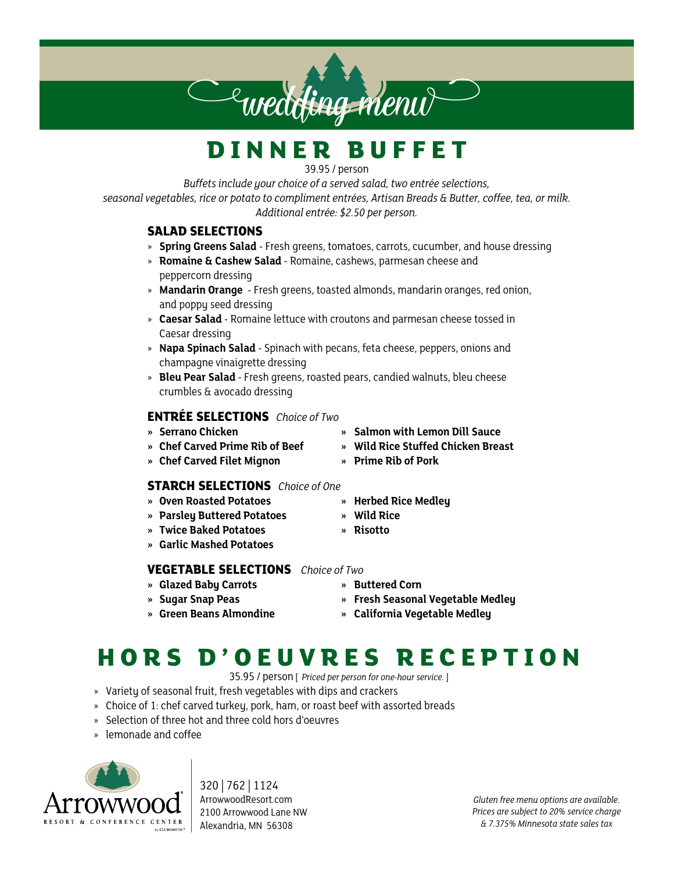## **D I N N E R B U F F E T**

39.95 / person

*Buffets include your choice of a served salad, two entrée selections, seasonal vegetables, rice or potato to compliment entrées, Artisan Breads & Butter, coffee, tea, or milk. Additional entrée: \$2.50 per person.*

#### **SALAD SELECTIONS**

- » **Spring Greens Salad**  Fresh greens, tomatoes, carrots, cucumber, and house dressing
- » **Romaine & Cashew Salad** Romaine, cashews, parmesan cheese and peppercorn dressing
- » **Mandarin Orange** Fresh greens, toasted almonds, mandarin oranges, red onion, and poppy seed dressing
- » **Caesar Salad** Romaine lettuce with croutons and parmesan cheese tossed in Caesar dressing
- » **Napa Spinach Salad** Spinach with pecans, feta cheese, peppers, onions and champagne vinaigrette dressing
- » **Bleu Pear Salad** Fresh greens, roasted pears, candied walnuts, bleu cheese crumbles & avocado dressing

#### **ENTRÉE SELECTIONS** *Choice of Two*

- 
- 
- **» Chef Carved Filet Mignon » Prime Rib of Pork**

#### **STARCH SELECTIONS** *Choice of One*

- **» Oven Roasted Potatoes » Herbed Rice Medley**
- **» Parsley Buttered Potatoes » Wild Rice**
- **» Twice Baked Potatoes » Risotto**
- **» Garlic Mashed Potatoes**

#### **VEGETABLE SELECTIONS** *Choice of Two*

- **» Glazed Baby Carrots » Buttered Corn**
- 
- 
- 
- **» Sugar Snap Peas » Fresh Seasonal Vegetable Medley**
- **» Green Beans Almondine » California Vegetable Medley**

## **H O R S D ' O E U V R E S R E C E P T I O N**

35.95 / person [ *Priced per person for one-hour service.* ]

- » Variety of seasonal fruit, fresh vegetables with dips and crackers
- » Choice of 1: chef carved turkey, pork, ham, or roast beef with assorted breads
- » Selection of three hot and three cold hors d'oeuvres
- » lemonade and coffee



320 | 762 | 1124 ArrowwoodResort.com 2100 Arrowwood Lane NW Alexandria, MN 56308

- 
- **» Serrano Chicken » Salmon with Lemon Dill Sauce**
- **» Chef Carved Prime Rib of Beef » Wild Rice Stuffed Chicken Breast**
	-

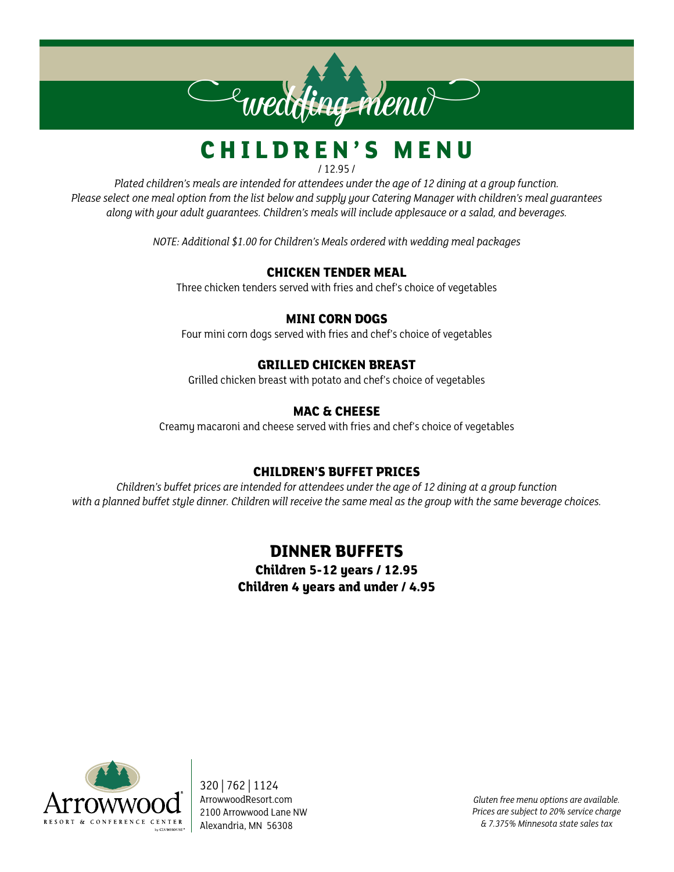# $\epsilon$ wedding menu $\sim$

#### **CHILDREN'S MENU** / 12.95 /

*Plated children's meals are intended for attendees under the age of 12 dining at a group function. Please select one meal option from the list below and supply your Catering Manager with children's meal guarantees along with your adult guarantees. Children's meals will include applesauce or a salad, and beverages.*

*NOTE: Additional \$1.00 for Children's Meals ordered with wedding meal packages*

#### **CHICKEN TENDER MEAL**

Three chicken tenders served with fries and chef's choice of vegetables

#### **MINI CORN DOGS**

Four mini corn dogs served with fries and chef's choice of vegetables

#### **GRILLED CHICKEN BREAST**

Grilled chicken breast with potato and chef's choice of vegetables

#### **MAC & CHEESE**

Creamy macaroni and cheese served with fries and chef's choice of vegetables

#### **CHILDREN'S BUFFET PRICES**

*Children's buffet prices are intended for attendees under the age of 12 dining at a group function with a planned buffet style dinner. Children will receive the same meal as the group with the same beverage choices.*

#### **DINNER BUFFETS**

**Children 5-12 years / 12.95 Children 4 years and under / 4.95**



320 | 762 | 1124 ArrowwoodResort.com 2100 Arrowwood Lane NW Alexandria, MN 56308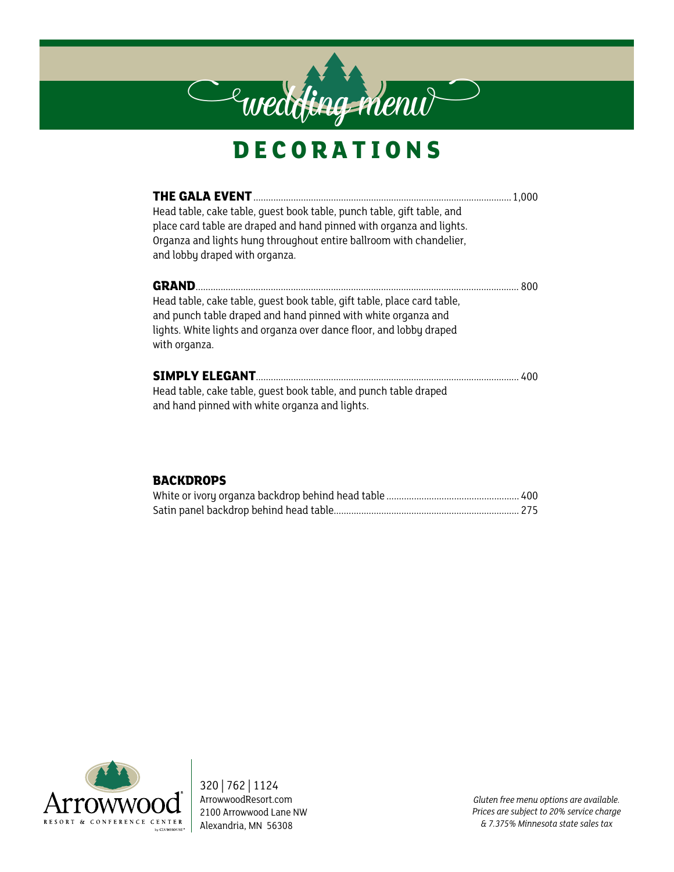## **DECORATIONS**

**Cewedding menu** 

| Head table, cake table, quest book table, punch table, gift table, and<br>place card table are draped and hand pinned with organza and lights.<br>Organza and lights hung throughout entire ballroom with chandelier,<br>and lobby draped with organza. |      |
|---------------------------------------------------------------------------------------------------------------------------------------------------------------------------------------------------------------------------------------------------------|------|
| <b>GRAND.</b><br>Head table, cake table, quest book table, gift table, place card table,<br>and punch table draped and hand pinned with white organza and<br>lights. White lights and organza over dance floor, and lobby draped<br>with organza.       | -800 |
| Head table, cake table, quest book table, and punch table draped<br>and hand pinned with white organza and lights.                                                                                                                                      |      |

#### **BACKDROPS**



320 | 762 | 1124 ArrowwoodResort.com 2100 Arrowwood Lane NW Alexandria, MN 56308